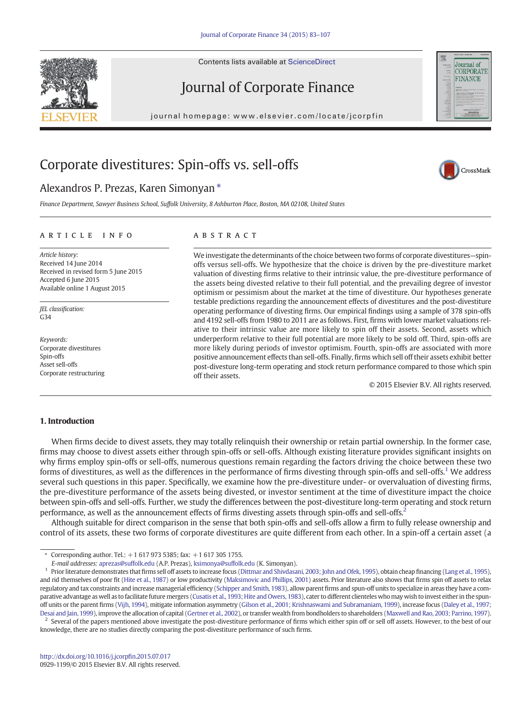Contents lists available at ScienceDirect





iournal homepage: www.elsevier.com/locate/icorpfin journal homepage: www.elsevier.com/locate/jcorp/locate/jcorp/locate/jcorp/locate/jcorp/locate/jcorp/locate/jcorp/

# Journal of **CORPORATE** FINANCE

### Corporate divestitures: Spin-offs vs. sell-offs

### Alexandros P. Prezas, Karen Simonyan<sup>\*</sup>

CrossMark

Finance Department, Sawyer Business School, Suffolk University, 8 Ashburton Place, Boston, MA 02108, United States

#### article info abstract

Article history: Received 14 June 2014 Received in revised form 5 June 2015 Accepted 6 June 2015 Available online 1 August 2015

JEL classification:  $C34$ 

Keywords: Corporate divestitures Spin-offs Asset sell-offs Corporate restructuring

We investigate the determinants of the choice between two forms of corporate divestitures—spinoffs versus sell-offs. We hypothesize that the choice is driven by the pre-divestiture market valuation of divesting firms relative to their intrinsic value, the pre-divestiture performance of the assets being divested relative to their full potential, and the prevailing degree of investor optimism or pessimism about the market at the time of divestiture. Our hypotheses generate testable predictions regarding the announcement effects of divestitures and the post-divestiture operating performance of divesting firms. Our empirical findings using a sample of 378 spin-offs and 4192 sell-offs from 1980 to 2011 are as follows. First, firms with lower market valuations relative to their intrinsic value are more likely to spin off their assets. Second, assets which underperform relative to their full potential are more likely to be sold off. Third, spin-offs are more likely during periods of investor optimism. Fourth, spin-offs are associated with more positive announcement effects than sell-offs. Finally, firms which sell off their assets exhibit better post-divesture long-term operating and stock return performance compared to those which spin off their assets.

© 2015 Elsevier B.V. All rights reserved.

#### 1. Introduction

When firms decide to divest assets, they may totally relinquish their ownership or retain partial ownership. In the former case, firms may choose to divest assets either through spin-offs or sell-offs. Although existing literature provides significant insights on why firms employ spin-offs or sell-offs, numerous questions remain regarding the factors driving the choice between these two forms of divestitures, as well as the differences in the performance of firms divesting through spin-offs and sell-offs.<sup>1</sup> We address several such questions in this paper. Specifically, we examine how the pre-divestiture under- or overvaluation of divesting firms, the pre-divestiture performance of the assets being divested, or investor sentiment at the time of divestiture impact the choice between spin-offs and sell-offs. Further, we study the differences between the post-divestiture long-term operating and stock return performance, as well as the announcement effects of firms divesting assets through spin-offs and sell-offs.2

Although suitable for direct comparison in the sense that both spin-offs and sell-offs allow a firm to fully release ownership and control of its assets, these two forms of corporate divestitures are quite different from each other. In a spin-off a certain asset (a

Corresponding author. Tel.:  $+16179735385$ ; fax:  $+16173051755$ .

E-mail addresses: [aprezas@suffolk.edu](mailto:aprezas@suffolk.edu) (A.P. Prezas), [ksimonya@suffolk.edu](mailto:ksimonya@suffolk.edu) (K. Simonyan).

<sup>1</sup> Prior literature demonstrates that firms sell off assets to increase focus [\(Dittmar and Shivdasani, 2003; John and Ofek, 1995\)](#page--1-0), obtain cheap financing ([Lang et al., 1995](#page--1-0)), and rid themselves of poor fit [\(Hite et al., 1987](#page--1-0)) or low productivity [\(Maksimovic and Phillips, 2001\)](#page--1-0) assets. Prior literature also shows that firms spin off assets to relax regulatory and tax constraints and increase managerial efficiency ([Schipper and Smith, 1983](#page--1-0)), allow parent firms and spun-off units to specialize in areas they have a comparative advantage as well as to facilitate future mergers ([Cusatis et al., 1993; Hite and Owers, 1983](#page--1-0)), cater to different clienteles who may wish to invest either in the spunoff units or the parent firms [\(Vijh, 1994](#page--1-0)), mitigate information asymmetry ([Gilson et al., 2001; Krishnaswami and Subramaniam, 1999](#page--1-0)), increase focus ([Daley et al., 1997;](#page--1-0) [Desai and Jain, 1999](#page--1-0)), improve the allocation of capital ([Gertner et al., 2002\)](#page--1-0), or transfer wealth from bondholders to shareholders [\(Maxwell and Rao, 2003; Parrino, 1997](#page--1-0)).

 $2$  Several of the papers mentioned above investigate the post-divestiture performance of firms which either spin off or sell off assets. However, to the best of our knowledge, there are no studies directly comparing the post-divestiture performance of such firms.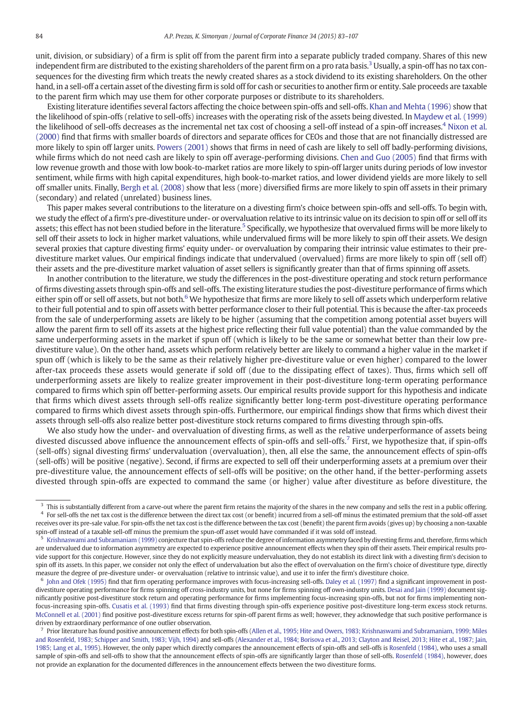unit, division, or subsidiary) of a firm is split off from the parent firm into a separate publicly traded company. Shares of this new independent firm are distributed to the existing shareholders of the parent firm on a pro rata basis.<sup>3</sup> Usually, a spin-off has no tax consequences for the divesting firm which treats the newly created shares as a stock dividend to its existing shareholders. On the other hand, in a sell-off a certain asset of the divesting firm is sold off for cash or securities to another firm or entity. Sale proceeds are taxable to the parent firm which may use them for other corporate purposes or distribute to its shareholders.

Existing literature identifies several factors affecting the choice between spin-offs and sell-offs. [Khan and Mehta \(1996\)](#page--1-0) show that the likelihood of spin-offs (relative to sell-offs) increases with the operating risk of the assets being divested. In [Maydew et al. \(1999\)](#page--1-0) the likelihood of sell-offs decreases as the incremental net tax cost of choosing a sell-off instead of a spin-off increases.4 [Nixon et al.](#page--1-0) [\(2000\)](#page--1-0) find that firms with smaller boards of directors and separate offices for CEOs and those that are not financially distressed are more likely to spin off larger units. [Powers \(2001\)](#page--1-0) shows that firms in need of cash are likely to sell off badly-performing divisions, while firms which do not need cash are likely to spin off average-performing divisions. [Chen and Guo \(2005\)](#page--1-0) find that firms with low revenue growth and those with low book-to-market ratios are more likely to spin-off larger units during periods of low investor sentiment, while firms with high capital expenditures, high book-to-market ratios, and lower dividend yields are more likely to sell off smaller units. Finally, [Bergh et al. \(2008\)](#page--1-0) show that less (more) diversified firms are more likely to spin off assets in their primary (secondary) and related (unrelated) business lines.

This paper makes several contributions to the literature on a divesting firm's choice between spin-offs and sell-offs. To begin with, we study the effect of a firm's pre-divestiture under- or overvaluation relative to its intrinsic value on its decision to spin off or sell off its assets; this effect has not been studied before in the literature.<sup>5</sup> Specifically, we hypothesize that overvalued firms will be more likely to sell off their assets to lock in higher market valuations, while undervalued firms will be more likely to spin off their assets. We design several proxies that capture divesting firms' equity under- or overvaluation by comparing their intrinsic value estimates to their predivestiture market values. Our empirical findings indicate that undervalued (overvalued) firms are more likely to spin off (sell off) their assets and the pre-divestiture market valuation of asset sellers is significantly greater than that of firms spinning off assets.

In another contribution to the literature, we study the differences in the post-divestiture operating and stock return performance of firms divesting assets through spin-offs and sell-offs. The existing literature studies the post-divestiture performance of firms which either spin off or sell off assets, but not both.<sup>6</sup> We hypothesize that firms are more likely to sell off assets which underperform relative to their full potential and to spin off assets with better performance closer to their full potential. This is because the after-tax proceeds from the sale of underperforming assets are likely to be higher (assuming that the competition among potential asset buyers will allow the parent firm to sell off its assets at the highest price reflecting their full value potential) than the value commanded by the same underperforming assets in the market if spun off (which is likely to be the same or somewhat better than their low predivestiture value). On the other hand, assets which perform relatively better are likely to command a higher value in the market if spun off (which is likely to be the same as their relatively higher pre-divestiture value or even higher) compared to the lower after-tax proceeds these assets would generate if sold off (due to the dissipating effect of taxes). Thus, firms which sell off underperforming assets are likely to realize greater improvement in their post-divestiture long-term operating performance compared to firms which spin off better-performing assets. Our empirical results provide support for this hypothesis and indicate that firms which divest assets through sell-offs realize significantly better long-term post-divestiture operating performance compared to firms which divest assets through spin-offs. Furthermore, our empirical findings show that firms which divest their assets through sell-offs also realize better post-divestiture stock returns compared to firms divesting through spin-offs.

We also study how the under- and overvaluation of divesting firms, as well as the relative underperformance of assets being divested discussed above influence the announcement effects of spin-offs and sell-offs.<sup>7</sup> First, we hypothesize that, if spin-offs (sell-offs) signal divesting firms' undervaluation (overvaluation), then, all else the same, the announcement effects of spin-offs (sell-offs) will be positive (negative). Second, if firms are expected to sell off their underperforming assets at a premium over their pre-divestiture value, the announcement effects of sell-offs will be positive; on the other hand, if the better-performing assets divested through spin-offs are expected to command the same (or higher) value after divestiture as before divestiture, the

<sup>&</sup>lt;sup>3</sup> This is substantially different from a carve-out where the parent firm retains the majority of the shares in the new company and sells the rest in a public offering. <sup>4</sup> For sell-offs the net tax cost is the difference between the direct tax cost (or benefit) incurred from a sell-off minus the estimated premium that the sold-off asset receives over its pre-sale value. For spin-offs the net tax cost is the difference between the tax cost (benefit) the parent firm avoids (gives up) by choosing a non-taxable spin-off instead of a taxable sell-off minus the premium the spun-off asset would have commanded if it was sold off instead.

<sup>&</sup>lt;sup>5</sup> [Krishnaswami and Subramaniam \(1999\)](#page--1-0) conjecture that spin-offs reduce the degree of information asymmetry faced by divesting firms and, therefore, firms which are undervalued due to information asymmetry are expected to experience positive announcement effects when they spin off their assets. Their empirical results provide support for this conjecture. However, since they do not explicitly measure undervaluation, they do not establish its direct link with a divesting firm's decision to spin off its assets. In this paper, we consider not only the effect of undervaluation but also the effect of overvaluation on the firm's choice of divestiture type, directly measure the degree of pre-divesture under- or overvaluation (relative to intrinsic value), and use it to infer the firm's divestiture choice.

<sup>&</sup>lt;sup>6</sup> [John and Ofek \(1995\)](#page--1-0) find that firm operating performance improves with focus-increasing sell-offs. [Daley et al. \(1997\)](#page--1-0) find a significant improvement in postdivestiture operating performance for firms spinning off cross-industry units, but none for firms spinning off own-industry units. [Desai and Jain \(1999\)](#page--1-0) document significantly positive post-divestiture stock return and operating performance for firms implementing focus-increasing spin-offs, but not for firms implementing nonfocus-increasing spin-offs. [Cusatis et al. \(1993\)](#page--1-0) find that firms divesting through spin-offs experience positive post-divestiture long-term excess stock returns. [McConnell et al. \(2001\)](#page--1-0) find positive post-divestiture excess returns for spin-off parent firms as well; however, they acknowledge that such positive performance is driven by extraordinary performance of one outlier observation.

 $^7$  Prior literature has found positive announcement effects for both spin-offs [\(Allen et al., 1995; Hite and Owers, 1983; Krishnaswami and Subramaniam, 1999; Miles](#page--1-0) [and Rosenfeld, 1983; Schipper and Smith, 1983; Vijh, 1994\)](#page--1-0) and sell-offs ([Alexander et al., 1984; Borisova et al., 2013; Clayton and Reisel, 2013; Hite et al., 1987; Jain,](#page--1-0) [1985; Lang et al., 1995\)](#page--1-0). However, the only paper which directly compares the announcement effects of spin-offs and sell-offs is [Rosenfeld \(1984\)](#page--1-0), who uses a small sample of spin-offs and sell-offs to show that the announcement effects of spin-offs are significantly larger than those of sell-offs. [Rosenfeld \(1984\)](#page--1-0), however, does not provide an explanation for the documented differences in the announcement effects between the two divestiture forms.